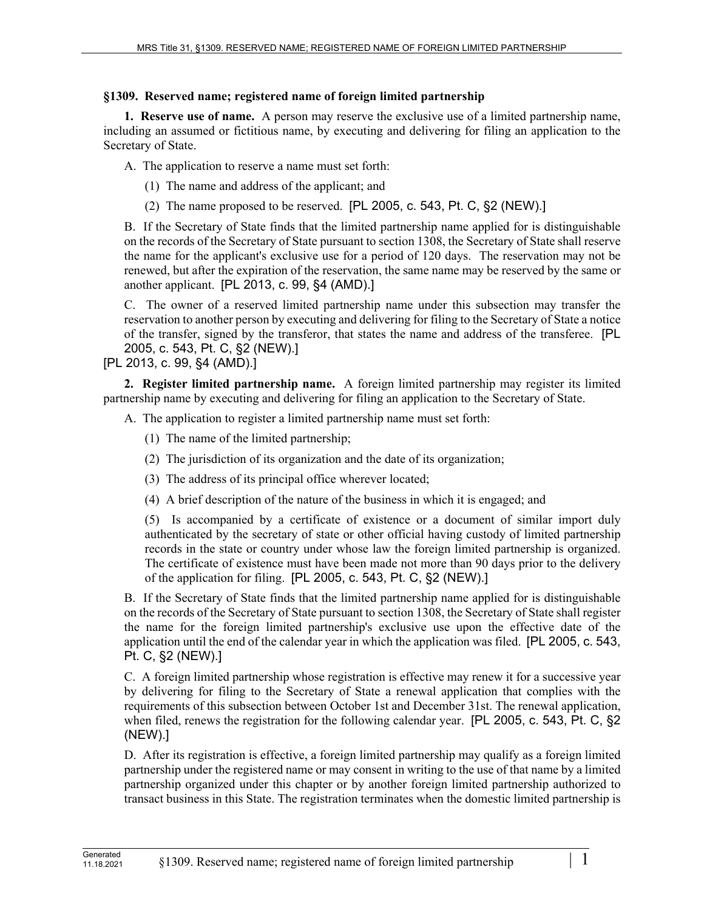## **§1309. Reserved name; registered name of foreign limited partnership**

**1. Reserve use of name.** A person may reserve the exclusive use of a limited partnership name, including an assumed or fictitious name, by executing and delivering for filing an application to the Secretary of State.

A. The application to reserve a name must set forth:

(1) The name and address of the applicant; and

(2) The name proposed to be reserved. [PL 2005, c. 543, Pt. C, §2 (NEW).]

B. If the Secretary of State finds that the limited partnership name applied for is distinguishable on the records of the Secretary of State pursuant to section 1308, the Secretary of State shall reserve the name for the applicant's exclusive use for a period of 120 days. The reservation may not be renewed, but after the expiration of the reservation, the same name may be reserved by the same or another applicant. [PL 2013, c. 99, §4 (AMD).]

C. The owner of a reserved limited partnership name under this subsection may transfer the reservation to another person by executing and delivering for filing to the Secretary of State a notice of the transfer, signed by the transferor, that states the name and address of the transferee. [PL 2005, c. 543, Pt. C, §2 (NEW).]

[PL 2013, c. 99, §4 (AMD).]

**2. Register limited partnership name.** A foreign limited partnership may register its limited partnership name by executing and delivering for filing an application to the Secretary of State.

A. The application to register a limited partnership name must set forth:

- (1) The name of the limited partnership;
- (2) The jurisdiction of its organization and the date of its organization;
- (3) The address of its principal office wherever located;
- (4) A brief description of the nature of the business in which it is engaged; and

(5) Is accompanied by a certificate of existence or a document of similar import duly authenticated by the secretary of state or other official having custody of limited partnership records in the state or country under whose law the foreign limited partnership is organized. The certificate of existence must have been made not more than 90 days prior to the delivery of the application for filing. [PL 2005, c. 543, Pt. C, §2 (NEW).]

B. If the Secretary of State finds that the limited partnership name applied for is distinguishable on the records of the Secretary of State pursuant to section 1308, the Secretary of State shall register the name for the foreign limited partnership's exclusive use upon the effective date of the application until the end of the calendar year in which the application was filed. [PL 2005, c. 543, Pt. C, §2 (NEW).]

C. A foreign limited partnership whose registration is effective may renew it for a successive year by delivering for filing to the Secretary of State a renewal application that complies with the requirements of this subsection between October 1st and December 31st. The renewal application, when filed, renews the registration for the following calendar year. [PL 2005, c. 543, Pt. C, §2 (NEW).]

D. After its registration is effective, a foreign limited partnership may qualify as a foreign limited partnership under the registered name or may consent in writing to the use of that name by a limited partnership organized under this chapter or by another foreign limited partnership authorized to transact business in this State. The registration terminates when the domestic limited partnership is